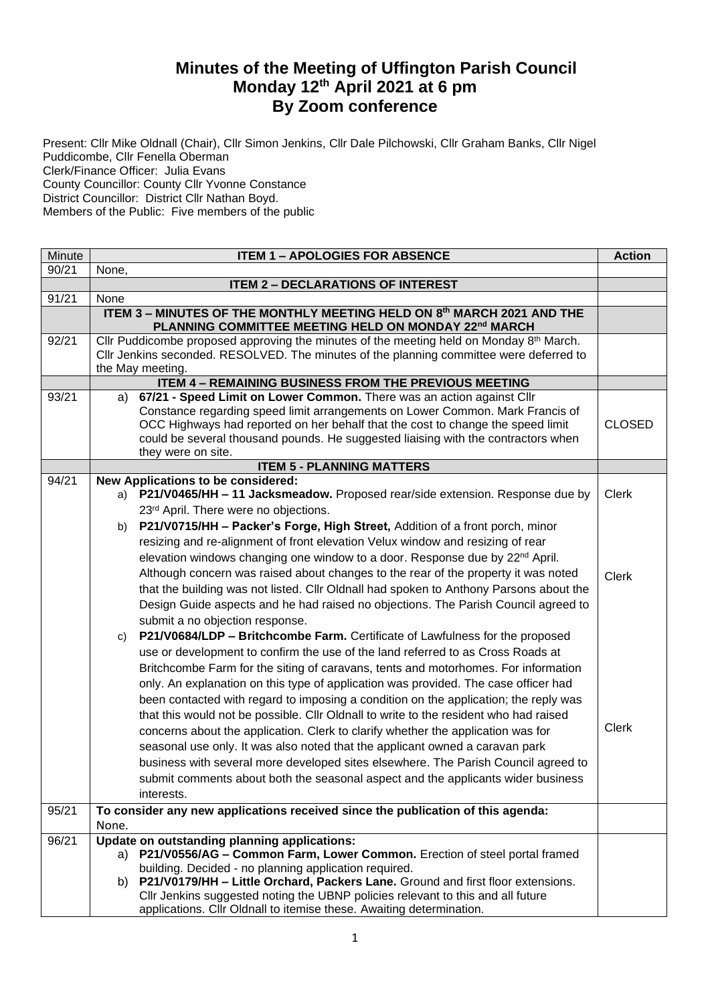## **Minutes of the Meeting of Uffington Parish Council Monday 12th April 2021 at 6 pm By Zoom conference**

Present: Cllr Mike Oldnall (Chair), Cllr Simon Jenkins, Cllr Dale Pilchowski, Cllr Graham Banks, Cllr Nigel Puddicombe, Cllr Fenella Oberman Clerk/Finance Officer: Julia Evans County Councillor: County Cllr Yvonne Constance District Councillor: District Cllr Nathan Boyd. Members of the Public: Five members of the public

| Minute | <b>ITEM 1 - APOLOGIES FOR ABSENCE</b>                                                                                                                        |               |  |  |  |
|--------|--------------------------------------------------------------------------------------------------------------------------------------------------------------|---------------|--|--|--|
| 90/21  | None,                                                                                                                                                        |               |  |  |  |
|        | <b>ITEM 2 - DECLARATIONS OF INTEREST</b>                                                                                                                     |               |  |  |  |
| 91/21  | None                                                                                                                                                         |               |  |  |  |
|        | ITEM 3 - MINUTES OF THE MONTHLY MEETING HELD ON 8th MARCH 2021 AND THE<br>PLANNING COMMITTEE MEETING HELD ON MONDAY 22nd MARCH                               |               |  |  |  |
| 92/21  | Cllr Puddicombe proposed approving the minutes of the meeting held on Monday 8 <sup>th</sup> March.                                                          |               |  |  |  |
|        | Cllr Jenkins seconded. RESOLVED. The minutes of the planning committee were deferred to                                                                      |               |  |  |  |
|        | the May meeting.                                                                                                                                             |               |  |  |  |
|        | <b>ITEM 4 - REMAINING BUSINESS FROM THE PREVIOUS MEETING</b>                                                                                                 |               |  |  |  |
| 93/21  | 67/21 - Speed Limit on Lower Common. There was an action against Cllr<br>a)<br>Constance regarding speed limit arrangements on Lower Common. Mark Francis of |               |  |  |  |
|        | OCC Highways had reported on her behalf that the cost to change the speed limit                                                                              | <b>CLOSED</b> |  |  |  |
|        | could be several thousand pounds. He suggested liaising with the contractors when                                                                            |               |  |  |  |
|        | they were on site.                                                                                                                                           |               |  |  |  |
|        | <b>ITEM 5 - PLANNING MATTERS</b>                                                                                                                             |               |  |  |  |
| 94/21  | New Applications to be considered:                                                                                                                           |               |  |  |  |
|        | P21/V0465/HH - 11 Jacksmeadow. Proposed rear/side extension. Response due by<br>a)                                                                           | <b>Clerk</b>  |  |  |  |
|        | 23rd April. There were no objections.                                                                                                                        |               |  |  |  |
|        | P21/V0715/HH - Packer's Forge, High Street, Addition of a front porch, minor<br>b).                                                                          |               |  |  |  |
|        | resizing and re-alignment of front elevation Velux window and resizing of rear                                                                               |               |  |  |  |
|        | elevation windows changing one window to a door. Response due by 22 <sup>nd</sup> April.                                                                     |               |  |  |  |
|        | Although concern was raised about changes to the rear of the property it was noted                                                                           | <b>Clerk</b>  |  |  |  |
|        | that the building was not listed. Cllr Oldnall had spoken to Anthony Parsons about the                                                                       |               |  |  |  |
|        | Design Guide aspects and he had raised no objections. The Parish Council agreed to                                                                           |               |  |  |  |
|        | submit a no objection response.                                                                                                                              |               |  |  |  |
|        | P21/V0684/LDP - Britchcombe Farm. Certificate of Lawfulness for the proposed<br>C)                                                                           |               |  |  |  |
|        | use or development to confirm the use of the land referred to as Cross Roads at                                                                              |               |  |  |  |
|        | Britchcombe Farm for the siting of caravans, tents and motorhomes. For information                                                                           |               |  |  |  |
|        | only. An explanation on this type of application was provided. The case officer had                                                                          |               |  |  |  |
|        | been contacted with regard to imposing a condition on the application; the reply was                                                                         |               |  |  |  |
|        | that this would not be possible. Cllr Oldnall to write to the resident who had raised                                                                        |               |  |  |  |
|        | concerns about the application. Clerk to clarify whether the application was for                                                                             | <b>Clerk</b>  |  |  |  |
|        | seasonal use only. It was also noted that the applicant owned a caravan park                                                                                 |               |  |  |  |
|        | business with several more developed sites elsewhere. The Parish Council agreed to                                                                           |               |  |  |  |
|        | submit comments about both the seasonal aspect and the applicants wider business                                                                             |               |  |  |  |
|        | interests.                                                                                                                                                   |               |  |  |  |
| 95/21  | To consider any new applications received since the publication of this agenda:                                                                              |               |  |  |  |
|        | None.                                                                                                                                                        |               |  |  |  |
| 96/21  | Update on outstanding planning applications:                                                                                                                 |               |  |  |  |
|        | a) P21/V0556/AG - Common Farm, Lower Common. Erection of steel portal framed                                                                                 |               |  |  |  |
|        | building. Decided - no planning application required.                                                                                                        |               |  |  |  |
|        | P21/V0179/HH - Little Orchard, Packers Lane. Ground and first floor extensions.<br>b)                                                                        |               |  |  |  |
|        | Cllr Jenkins suggested noting the UBNP policies relevant to this and all future                                                                              |               |  |  |  |
|        | applications. Cllr Oldnall to itemise these. Awaiting determination.                                                                                         |               |  |  |  |